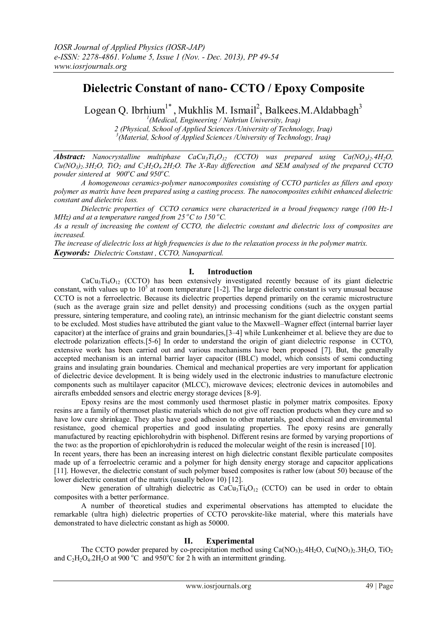# **Dielectric Constant of nano- CCTO / Epoxy Composite**

Logean Q. Ibrhium<sup>1\*</sup>, Mukhlis M. Ismail<sup>2</sup>, Balkees.M.Aldabbagh<sup>3</sup>

*1 (Medical, Engineering / Nahriun University, Iraq) 2 (Physical, School of Applied Sciences /University of Technology, Iraq) 3 (Material, School of Applied Sciences /University of Technology, Iraq)*

*Abstract: Nanocrystalline multiphase CaCu3Ti4O<sup>12</sup> (CCTO) was prepared using Ca(NO3)2.4H2O, Cu(NO3)2.3H2O, TiO<sup>2</sup> and C2H2O4.2H2O. The X-Ray differection and SEM analysed of the prepared CCTO powder sintered at 900<sup>o</sup>C and 950<sup>o</sup>C.*

*A homogeneous ceramics-polymer nanocomposites consisting of CCTO particles as fillers and epoxy polymer as matrix have been prepared using a casting process. The nanocomposites exhibit enhanced dielectric constant and dielectric loss.*

*Dielectric properties of CCTO ceramics were characterized in a broad frequency range (100 Hz-1 MHz)* and at a temperature ranged from  $25^{\circ}$ C to  $150^{\circ}$ C.

*As a result of increasing the content of CCTO, the dielectric constant and dielectric loss of composites are increased.*

*The increase of dielectric loss at high frequencies is due to the relaxation process in the polymer matrix. Keywords: Dielectric Constant , CCTO, Nanopartical.*

## **I. Introduction**

 $CaCu<sub>114</sub>O<sub>12</sub>$  (CCTO) has been extensively investigated recently because of its giant dielectric constant, with values up to  $10^5$  at room temperature [1-2]. The large dielectric constant is very unusual because CCTO is not a ferroelectric. Because its dielectric properties depend primarily on the ceramic microstructure (such as the average grain size and pellet density) and processing conditions (such as the oxygen partial pressure, sintering temperature, and cooling rate), an intrinsic mechanism for the giant dielectric constant seems to be excluded. Most studies have attributed the giant value to the Maxwell–Wagner effect (internal barrier layer capacitor) at the interface of grains and grain boundaries,[3–4] while Lunkenheimer et al. believe they are due to electrode polarization effects.[5-6] In order to understand the origin of giant dielectric response in CCTO, extensive work has been carried out and various mechanisms have been proposed [7]. But, the generally accepted mechanism is an internal barrier layer capacitor (IBLC) model, which consists of semi conducting grains and insulating grain boundaries. Chemical and mechanical properties are very important for application of dielectric device development. It is being widely used in the electronic industries to manufacture electronic components such as multilayer capacitor (MLCC), microwave devices; electronic devices in automobiles and aircrafts embedded sensors and electric energy storage devices [8-9].

Epoxy resins are the most commonly used thermoset plastic in polymer matrix composites. Epoxy resins are a family of thermoset plastic materials which do not give off reaction products when they cure and so have low cure shrinkage. They also have good adhesion to other materials, good chemical and environmental resistance, good chemical properties and good insulating properties. The epoxy resins are generally manufactured by reacting epichlorohydrin with bisphenol. Different resins are formed by varying proportions of the two: as the proportion of epichlorohydrin is reduced the molecular weight of the resin is increased [10].

In recent years, there has been an increasing interest on high dielectric constant flexible particulate composites made up of a ferroelectric ceramic and a polymer for high density energy storage and capacitor applications [11]. However, the dielectric constant of such polymer based composites is rather low (about 50) because of the lower dielectric constant of the matrix (usually below 10) [12].

New generation of ultrahigh dielectric as  $CaCu<sub>3</sub>Ti<sub>4</sub>O<sub>12</sub>$  (CCTO) can be used in order to obtain composites with a better performance.

A number of theoretical studies and experimental observations has attempted to elucidate the remarkable (ultra high) dielectric properties of CCTO perovskite-like material, where this materials have demonstrated to have dielectric constant as high as 50000.

## **II. Experimental**

The CCTO powder prepared by co-precipitation method using  $Ca(NO<sub>3</sub>)<sub>2</sub>4H<sub>2</sub>O$ ,  $Cu(NO<sub>3</sub>)<sub>2</sub>3H<sub>2</sub>O$ , TiO<sub>2</sub> and  $C_2H_2O_4.2H_2O$  at 900 °C and 950°C for 2 h with an intermittent grinding.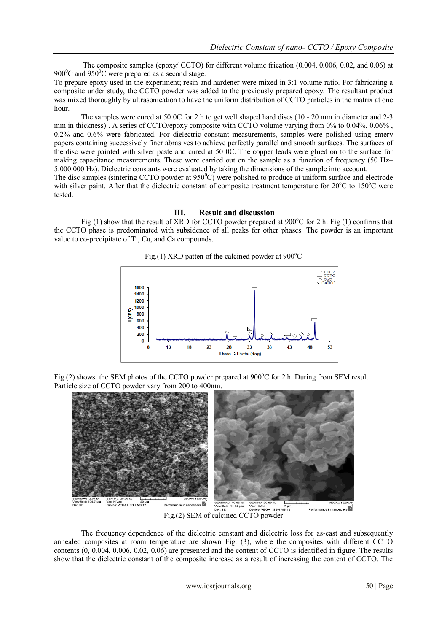The composite samples (epoxy/ CCTO) for different volume frication (0.004, 0.006, 0.02, and 0.06) at  $900^{\circ}$ C and  $950^{\circ}$ C were prepared as a second stage.

To prepare epoxy used in the experiment; resin and hardener were mixed in 3:1 volume ratio. For fabricating a composite under study, the CCTO powder was added to the previously prepared epoxy. The resultant product was mixed thoroughly by ultrasonication to have the uniform distribution of CCTO particles in the matrix at one hour.

The samples were cured at 50 0C for 2 h to get well shaped hard discs (10 - 20 mm in diameter and 2-3 mm in thickness). A series of CCTO/epoxy composite with CCTO volume varying from 0% to 0.04%, 0.06%, 0.2% and 0.6% were fabricated. For dielectric constant measurements, samples were polished using emery papers containing successively finer abrasives to achieve perfectly parallel and smooth surfaces. The surfaces of the disc were painted with silver paste and cured at 50 0C. The copper leads were glued on to the surface for making capacitance measurements. These were carried out on the sample as a function of frequency (50 Hz– 5.000.000 Hz). Dielectric constants were evaluated by taking the dimensions of the sample into account.

The disc samples (sintering CCTO powder at  $950^{\circ}$ C) were polished to produce at uniform surface and electrode with silver paint. After that the dielectric constant of composite treatment temperature for 20°C to 150°C were tested.

## **III. Result and discussion**

Fig (1) show that the result of XRD for CCTO powder prepared at  $900^{\circ}$ C for 2 h. Fig (1) confirms that the CCTO phase is predominated with subsidence of all peaks for other phases. The powder is an important value to co-precipitate of Ti, Cu, and Ca compounds.





Fig.(2) shows the SEM photos of the CCTO powder prepared at  $900^{\circ}$ C for 2 h. During from SEM result Particle size of CCTO powder vary from 200 to 400nm.



The frequency dependence of the dielectric constant and dielectric loss for as-cast and subsequently annealed composites at room temperature are shown Fig. (3), where the composites with different CCTO contents (0, 0.004, 0.006, 0.02, 0.06) are presented and the content of CCTO is identified in figure. The results show that the dielectric constant of the composite increase as a result of increasing the content of CCTO. The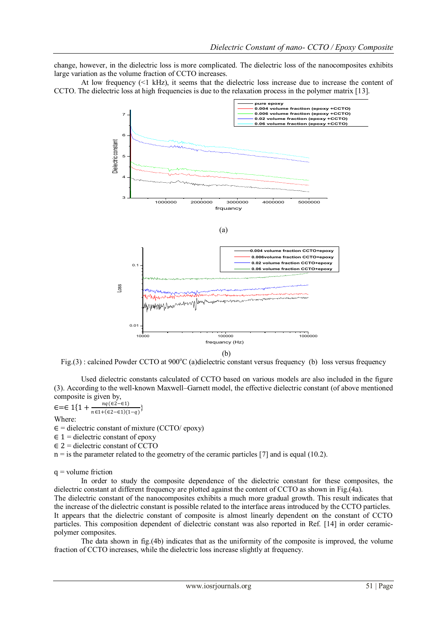change, however, in the dielectric loss is more complicated. The dielectric loss of the nanocomposites exhibits large variation as the volume fraction of CCTO increases.

At low frequency (<1 kHz), it seems that the dielectric loss increase due to increase the content of CCTO. The dielectric loss at high frequencies is due to the relaxation process in the polymer matrix [13].



Fig.(3) : calcined Powder CCTO at 900°C (a)dielectric constant versus frequency (b) loss versus frequency

Used dielectric constants calculated of CCTO based on various models are also included in the figure (3). According to the well-known Maxwell–Garnett model, the effective dielectric constant (of above mentioned composite is given by,

 $\epsilon = \epsilon$  1{1 +  $\frac{nq(\epsilon 2 - \epsilon 1)}{n(1 + \epsilon 2)}$  $\frac{uq(\epsilon_2 - \epsilon_1)}{n\epsilon_1 + (\epsilon_2 - \epsilon_1)(1-q)}$ 

Where:

 $\epsilon$  = dielectric constant of mixture (CCTO/ epoxy)

 $\in$  1 = dielectric constant of epoxy

 $\epsilon$  2 = dielectric constant of CCTO

 $n =$  is the parameter related to the geometry of the ceramic particles [7] and is equal (10.2).

 $q$  = volume friction

In order to study the composite dependence of the dielectric constant for these composites, the dielectric constant at different frequency are plotted against the content of CCTO as shown in Fig.(4a).

The dielectric constant of the nanocomposites exhibits a much more gradual growth. This result indicates that the increase of the dielectric constant is possible related to the interface areas introduced by the CCTO particles. It appears that the dielectric constant of composite is almost linearly dependent on the constant of CCTO particles. This composition dependent of dielectric constant was also reported in Ref. [14] in order ceramicpolymer composites.

The data shown in fig.(4b) indicates that as the uniformity of the composite is improved, the volume fraction of CCTO increases, while the dielectric loss increase slightly at frequency.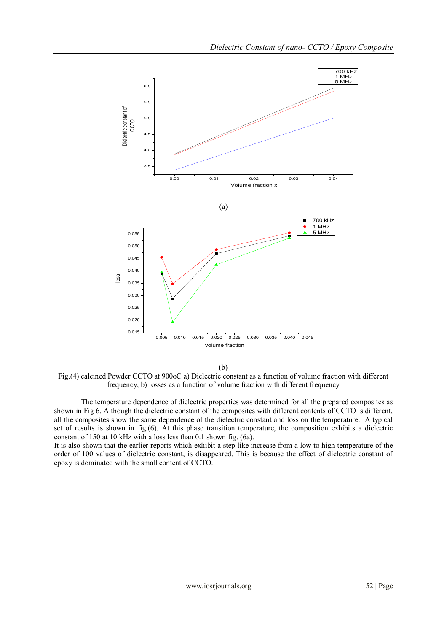

(b)

Fig.(4) calcined Powder CCTO at 900oC a) Dielectric constant as a function of volume fraction with different frequency, b) losses as a function of volume fraction with different frequency

The temperature dependence of dielectric properties was determined for all the prepared composites as shown in Fig 6. Although the dielectric constant of the composites with different contents of CCTO is different, all the composites show the same dependence of the dielectric constant and loss on the temperature. A typical set of results is shown in fig.(6). At this phase transition temperature, the composition exhibits a dielectric constant of 150 at 10 kHz with a loss less than 0.1 shown fig. (6a).

It is also shown that the earlier reports which exhibit a step like increase from a low to high temperature of the order of 100 values of dielectric constant, is disappeared. This is because the effect of dielectric constant of epoxy is dominated with the small content of CCTO.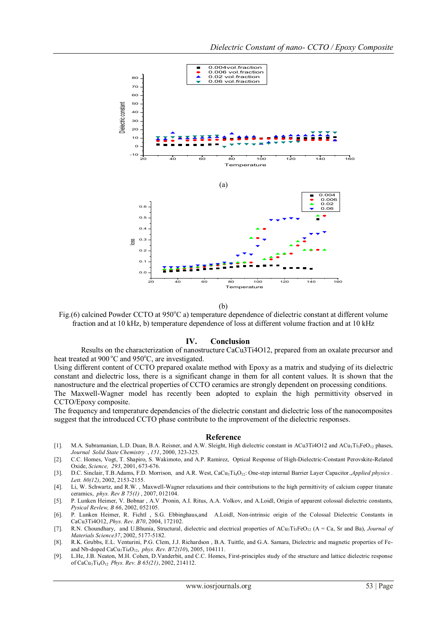

(b)

Fig.(6) calcined Powder CCTO at 950°C a) temperature dependence of dielectric constant at different volume fraction and at 10 kHz, b) temperature dependence of loss at different volume fraction and at 10 kHz

#### **IV. Conclusion**

Results on the characterization of nanostructure CaCu3Ti4O12, prepared from an oxalate precursor and heat treated at 900 °C and 950°C, are investigated.

Using different content of CCTO prepared oxalate method with Epoxy as a matrix and studying of its dielectric constant and dielectric loss, there is a significant change in them for all content values. It is shown that the nanostructure and the electrical properties of CCTO ceramics are strongly dependent on processing conditions.

The Maxwell-Wagner model has recently been adopted to explain the high permittivity observed in CCTO/Epoxy composite.

The frequency and temperature dependencies of the dielectric constant and dielectric loss of the nanocomposites suggest that the introduced CCTO phase contribute to the improvement of the dielectric responses.

#### **Reference**

- [1]. M.A. Subramanian, L.D. Duan, B.A. Reisner, and A.W. Sleight, High dielectric constant in ACu3Ti4O12 and ACu<sub>3</sub>Ti<sub>3</sub>FeO<sub>12</sub> phases, *Journal Solid State Chemistry* , *151*, 2000, 323-325.
- [2]. C.C. Homes, Vogt, T. Shapiro, S. Wakimoto, and A.P. Ramirez, Optical Response of High-Dielectric-Constant Perovskite-Related Oxide, *Science, 293*, 2001, 673-676.
- [3]. D.C. Sinclair, T.B.Adams, F.D. Morrison, and A.R. West, CaCu3Ti4O12: One-step internal Barrier Layer Capacitor.,*Applied physics . Lett. 80(12)*, 2002, 2153-2155.
- [4]. Li, W. Schwartz, and R.W. , Maxwell-Wagner relaxations and their contributions to the high permittivity of calcium copper titanate ceramics, *phys. Rev B 75(1)* , 2007, 012104.
- [5]. P. Lunken Heimer, V. Bobnar , A.V .Pronin, A.I. Ritus, A.A. Volkov, and A.Loidl, Origin of apparent colossal dielectric constants, *Pysical Revlew, B 66*, 2002, 052105.
- [6]. P. Lunken Heimer, R. Fichtl , S.G. Ebbinghaus,and A.Loidl, Non-intrinsic origin of the Colossal Dielectric Constants in CaCu3Ti4O12, *Phys. Rev. B70*, 2004, 172102.
- [7]. R.N. Choundhary, and U.Bhunia, Structural, dielectric and electrical properties of ACu<sub>3</sub>Ti<sub>3</sub>FeO<sub>12</sub> (A = Ca, Sr and Ba), *Journal of Materials Science37*, 2002, 5177-5182.
- [8]. R.K. Grubbs, E.L. Venturini, P.G. Clem, J.J. Richardson , B.A. Tuittle, and G.A. Samara, Dielectric and magnetic properties of Feand Nb-doped CaCu3Ti4O12, *phys. Rev. B72(10*), 2005, 104111.
- [9]. L.He, J.B. Neaton, M.H. Cohen, D.Vanderbit, and C.C. Homes, First-principles study of the structure and lattice dielectric response of CaCu3Ti4O12 *Phys. Rev. B 65(21)*, 2002, 214112.